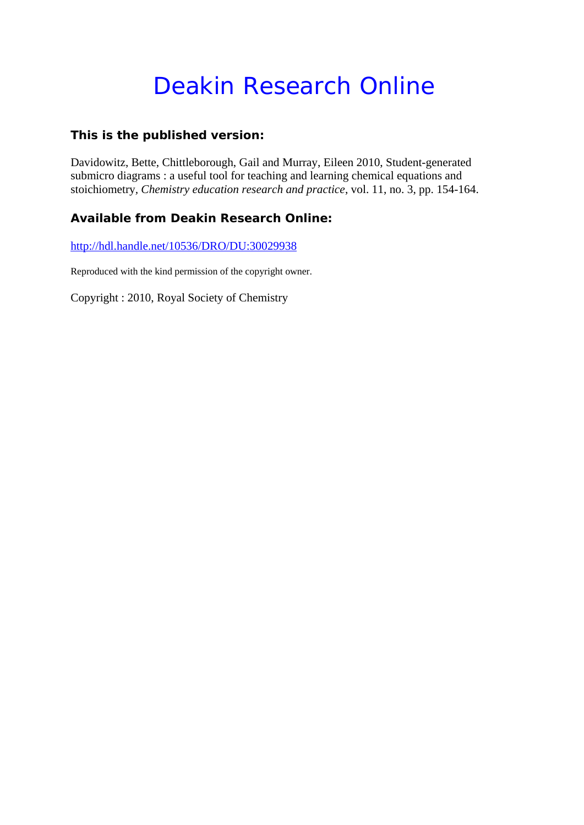# Deakin Research Online

### **This is the published version:**

Davidowitz, Bette, Chittleborough, Gail and Murray, Eileen 2010, Student-generated submicro diagrams : a useful tool for teaching and learning chemical equations and stoichiometry*, Chemistry education research and practice*, vol. 11, no. 3, pp. 154-164.

## **Available from Deakin Research Online:**

http://hdl.handle.net/10536/DRO/DU:30029938

Reproduced with the kind permission of the copyright owner.

Copyright : 2010, Royal Society of Chemistry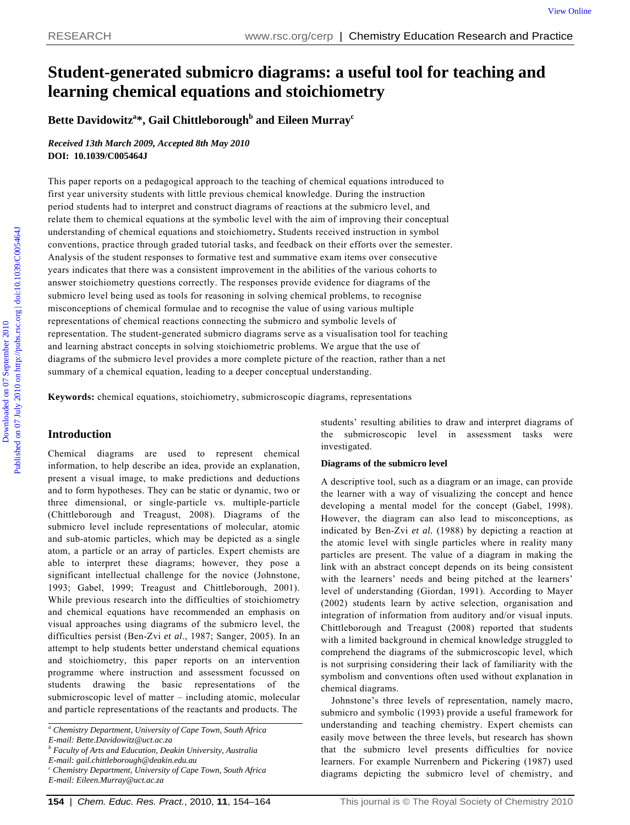# **Student-generated submicro diagrams: a useful tool for teaching and learning chemical equations and stoichiometry**

 $\mathbf{B}$ ette Davidowitz $\mathbf{a}^*$ , Gail Chittleborough $\mathbf{b}$  and Eileen Murray $\mathbf{c}$ 

*Received 13th March 2009, Accepted 8th May 2010*  **DOI: 10.1039/C005464J**

This paper reports on a pedagogical approach to the teaching of chemical equations introduced to first year university students with little previous chemical knowledge. During the instruction period students had to interpret and construct diagrams of reactions at the submicro level, and relate them to chemical equations at the symbolic level with the aim of improving their conceptual understanding of chemical equations and stoichiometry**.** Students received instruction in symbol conventions, practice through graded tutorial tasks, and feedback on their efforts over the semester. Analysis of the student responses to formative test and summative exam items over consecutive years indicates that there was a consistent improvement in the abilities of the various cohorts to answer stoichiometry questions correctly. The responses provide evidence for diagrams of the submicro level being used as tools for reasoning in solving chemical problems, to recognise misconceptions of chemical formulae and to recognise the value of using various multiple representations of chemical reactions connecting the submicro and symbolic levels of representation. The student-generated submicro diagrams serve as a visualisation tool for teaching and learning abstract concepts in solving stoichiometric problems. We argue that the use of diagrams of the submicro level provides a more complete picture of the reaction, rather than a net summary of a chemical equation, leading to a deeper conceptual understanding. RESEARCH www.se.org/corp | Chemistry Education Research and Practice<br>
Student-generated submicro diagrams: a useful tool for teaching and<br>
learning chemical equations and stoichiometry<br>
Retchend *Bublished 2004*, correct

**Keywords:** chemical equations, stoichiometry, submicroscopic diagrams, representations

#### **Introduction**

Chemical diagrams are used to represent chemical information, to help describe an idea, provide an explanation, present a visual image, to make predictions and deductions and to form hypotheses. They can be static or dynamic, two or three dimensional, or single-particle vs. multiple-particle (Chittleborough and Treagust, 2008). Diagrams of the submicro level include representations of molecular, atomic and sub-atomic particles, which may be depicted as a single atom, a particle or an array of particles. Expert chemists are able to interpret these diagrams; however, they pose a significant intellectual challenge for the novice (Johnstone, 1993; Gabel, 1999; Treagust and Chittleborough, 2001). While previous research into the difficulties of stoichiometry and chemical equations have recommended an emphasis on visual approaches using diagrams of the submicro level, the difficulties persist (Ben-Zvi *et al*., 1987; Sanger, 2005). In an attempt to help students better understand chemical equations and stoichiometry, this paper reports on an intervention programme where instruction and assessment focussed on students drawing the basic representations of the submicroscopic level of matter – including atomic, molecular and particle representations of the reactants and products. The

*E-mail: gail.chittleborough@deakin.edu.au c*

 *Chemistry Department, University of Cape Town, South Africa E-mail: [Eileen.Murray@uct.ac.za](mailto:Eileen.Murray@uct.ac.za)* 

students' resulting abilities to draw and interpret diagrams of the submicroscopic level in assessment tasks were investigated.

#### **Diagrams of the submicro level**

A descriptive tool, such as a diagram or an image, can provide the learner with a way of visualizing the concept and hence developing a mental model for the concept (Gabel, 1998). However, the diagram can also lead to misconceptions, as indicated by Ben-Zvi *et al.* (1988) by depicting a reaction at the atomic level with single particles where in reality many particles are present. The value of a diagram in making the link with an abstract concept depends on its being consistent with the learners' needs and being pitched at the learners' level of understanding (Giordan, 1991). According to Mayer (2002) students learn by active selection, organisation and integration of information from auditory and/or visual inputs. Chittleborough and Treagust (2008) reported that students with a limited background in chemical knowledge struggled to comprehend the diagrams of the submicroscopic level, which is not surprising considering their lack of familiarity with the symbolism and conventions often used without explanation in chemical diagrams.

 Johnstone's three levels of representation, namely macro, submicro and symbolic (1993) provide a useful framework for understanding and teaching chemistry. Expert chemists can easily move between the three levels, but research has shown that the submicro level presents difficulties for novice learners. For example Nurrenbern and Pickering (1987) used diagrams depicting the submicro level of chemistry, and

<sup>&</sup>lt;sup>a</sup> Chemistry Department, University of Cape Town, South Africa *E-mail: [Bette.Davidowitz@uct.ac.za](mailto:Bette.Davidowitz@uct.ac.za) b Faculty of Arts and Education, Deakin University, Australia*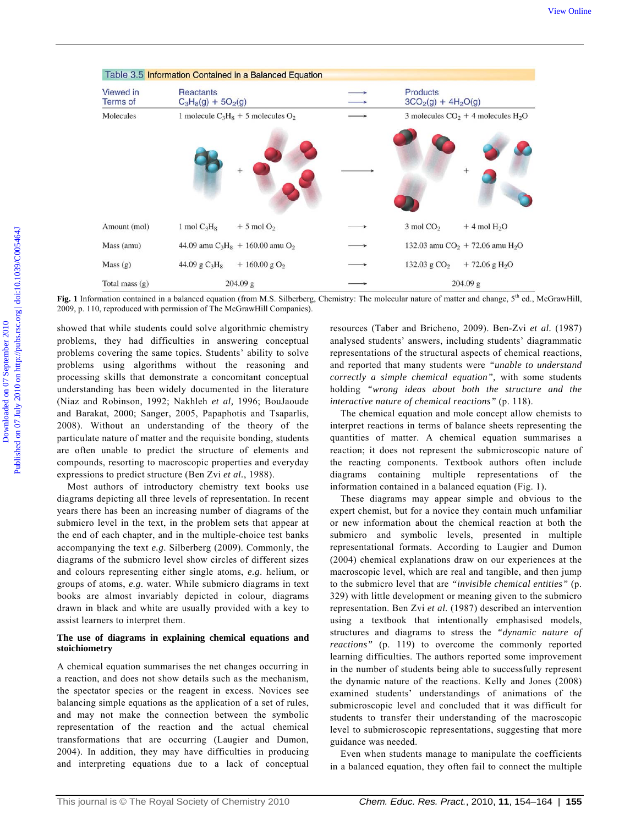

Fig. 1 Information contained in a balanced equation (from M.S. Silberberg, Chemistry: The molecular nature of matter and change, 5<sup>th</sup> ed., McGrawHill, 2009, p. 110, reproduced with permission of The McGrawHill Companies).

showed that while students could solve algorithmic chemistry problems, they had difficulties in answering conceptual problems covering the same topics. Students' ability to solve problems using algorithms without the reasoning and processing skills that demonstrate a concomitant conceptual understanding has been widely documented in the literature (Niaz and Robinson, 1992; Nakhleh *et al,* 1996; BouJaoude and Barakat, 2000; Sanger, 2005, Papaphotis and Tsaparlis, 2008). Without an understanding of the theory of the particulate nature of matter and the requisite bonding, students are often unable to predict the structure of elements and compounds, resorting to macroscopic properties and everyday expressions to predict structure (Ben Zvi *et al.*, 1988).

 Most authors of introductory chemistry text books use diagrams depicting all three levels of representation. In recent years there has been an increasing number of diagrams of the submicro level in the text, in the problem sets that appear at the end of each chapter, and in the multiple-choice test banks accompanying the text *e.g*. Silberberg (2009). Commonly, the diagrams of the submicro level show circles of different sizes and colours representing either single atoms, *e.g*. helium, or groups of atoms, *e.g*. water. While submicro diagrams in text books are almost invariably depicted in colour, diagrams drawn in black and white are usually provided with a key to assist learners to interpret them.

#### **The use of diagrams in explaining chemical equations and stoichiometry**

A chemical equation summarises the net changes occurring in a reaction, and does not show details such as the mechanism, the spectator species or the reagent in excess. Novices see balancing simple equations as the application of a set of rules, and may not make the connection between the symbolic representation of the reaction and the actual chemical transformations that are occurring (Laugier and Dumon, 2004). In addition, they may have difficulties in producing and interpreting equations due to a lack of conceptual resources (Taber and Bricheno, 2009). Ben-Zvi *et al.* (1987) analysed students' answers, including students' diagrammatic representations of the structural aspects of chemical reactions, and reported that many students were *"unable to understand correctly a simple chemical equation",* with some students holding *"wrong ideas about both the structure and the interactive nature of chemical reactions"* (p. 118).

 The chemical equation and mole concept allow chemists to interpret reactions in terms of balance sheets representing the quantities of matter. A chemical equation summarises a reaction; it does not represent the submicroscopic nature of the reacting components. Textbook authors often include diagrams containing multiple representations of the information contained in a balanced equation (Fig. 1).

 These diagrams may appear simple and obvious to the expert chemist, but for a novice they contain much unfamiliar or new information about the chemical reaction at both the submicro and symbolic levels, presented in multiple representational formats. According to Laugier and Dumon (2004) chemical explanations draw on our experiences at the macroscopic level, which are real and tangible, and then jump to the submicro level that are *"invisible chemical entities"* (p. 329) with little development or meaning given to the submicro representation. Ben Zvi *et al.* (1987) described an intervention using a textbook that intentionally emphasised models, structures and diagrams to stress the *"dynamic nature of reactions"* (p. 119) to overcome the commonly reported learning difficulties. The authors reported some improvement in the number of students being able to successfully represent the dynamic nature of the reactions. Kelly and Jones (2008) examined students' understandings of animations of the submicroscopic level and concluded that it was difficult for students to transfer their understanding of the macroscopic level to submicroscopic representations, suggesting that more guidance was needed.

 Even when students manage to manipulate the coefficients in a balanced equation, they often fail to connect the multiple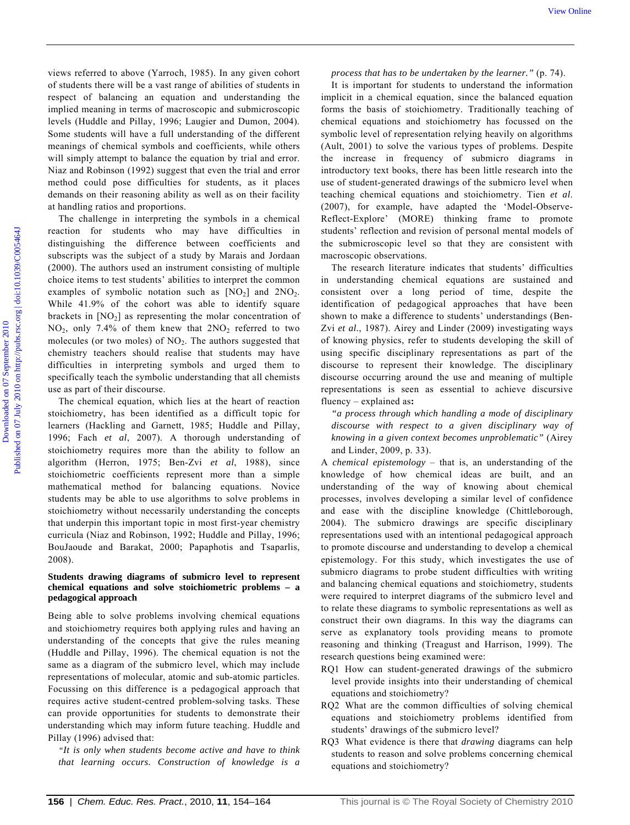views referred to above (Yarroch, 1985). In any given cohort of students there will be a vast range of abilities of students in respect of balancing an equation and understanding the implied meaning in terms of macroscopic and submicroscopic levels (Huddle and Pillay, 1996; Laugier and Dumon, 2004). Some students will have a full understanding of the different meanings of chemical symbols and coefficients, while others will simply attempt to balance the equation by trial and error. Niaz and Robinson (1992) suggest that even the trial and error method could pose difficulties for students, as it places demands on their reasoning ability as well as on their facility at handling ratios and proportions.

 The challenge in interpreting the symbols in a chemical reaction for students who may have difficulties in distinguishing the difference between coefficients and subscripts was the subject of a study by Marais and Jordaan (2000). The authors used an instrument consisting of multiple choice items to test students' abilities to interpret the common examples of symbolic notation such as  $[NO<sub>2</sub>]$  and  $2NO<sub>2</sub>$ . While 41.9% of the cohort was able to identify square brackets in  $[NO<sub>2</sub>]$  as representing the molar concentration of  $NO<sub>2</sub>$ , only 7.4% of them knew that  $2NO<sub>2</sub>$  referred to two molecules (or two moles) of  $NO<sub>2</sub>$ . The authors suggested that chemistry teachers should realise that students may have difficulties in interpreting symbols and urged them to specifically teach the symbolic understanding that all chemists use as part of their discourse. Very Online<br>
views reflered in show (Yarresh, 1985) in any given coloni<br>
or stations there will be a vest ringe of abilities of stations in<br>
the sumperimeter for abilities of stations and ambatical particular in a channic

 The chemical equation, which lies at the heart of reaction stoichiometry, has been identified as a difficult topic for learners (Hackling and Garnett, 1985; Huddle and Pillay, 1996; Fach *et al*, 2007). A thorough understanding of stoichiometry requires more than the ability to follow an algorithm (Herron, 1975; Ben-Zvi *et al*, 1988), since stoichiometric coefficients represent more than a simple mathematical method for balancing equations. Novice students may be able to use algorithms to solve problems in stoichiometry without necessarily understanding the concepts that underpin this important topic in most first-year chemistry curricula (Niaz and Robinson, 1992; Huddle and Pillay, 1996; BouJaoude and Barakat, 2000; Papaphotis and Tsaparlis, 2008).

#### **Students drawing diagrams of submicro level to represent chemical equations and solve stoichiometric problems – a pedagogical approach**

Being able to solve problems involving chemical equations and stoichiometry requires both applying rules and having an understanding of the concepts that give the rules meaning (Huddle and Pillay, 1996). The chemical equation is not the same as a diagram of the submicro level, which may include representations of molecular, atomic and sub-atomic particles. Focussing on this difference is a pedagogical approach that requires active student-centred problem-solving tasks. These can provide opportunities for students to demonstrate their understanding which may inform future teaching. Huddle and Pillay (1996) advised that:

 *"It is only when students become active and have to think that learning occurs. Construction of knowledge is a*  *process that has to be undertaken by the learner."* (p. 74).

 It is important for students to understand the information implicit in a chemical equation, since the balanced equation forms the basis of stoichiometry. Traditionally teaching of chemical equations and stoichiometry has focussed on the symbolic level of representation relying heavily on algorithms (Ault, 2001) to solve the various types of problems. Despite the increase in frequency of submicro diagrams in introductory text books, there has been little research into the use of student-generated drawings of the submicro level when teaching chemical equations and stoichiometry. Tien *et al*. (2007), for example, have adapted the 'Model-Observe-Reflect-Explore' (MORE) thinking frame to promote students' reflection and revision of personal mental models of the submicroscopic level so that they are consistent with macroscopic observations.

 The research literature indicates that students' difficulties in understanding chemical equations are sustained and consistent over a long period of time, despite the identification of pedagogical approaches that have been shown to make a difference to students' understandings (Ben-Zvi *et al.*, 1987). Airey and Linder (2009) investigating ways of knowing physics, refer to students developing the skill of using specific disciplinary representations as part of the discourse to represent their knowledge. The disciplinary discourse occurring around the use and meaning of multiple representations is seen as essential to achieve discursive fluency – explained as**:**

*"a process through which handling a mode of disciplinary discourse with respect to a given disciplinary way of knowing in a given context becomes unproblematic"* (Airey and Linder, 2009, p. 33).

A *chemical epistemology* – that is, an understanding of the knowledge of how chemical ideas are built, and an understanding of the way of knowing about chemical processes, involves developing a similar level of confidence and ease with the discipline knowledge (Chittleborough, 2004). The submicro drawings are specific disciplinary representations used with an intentional pedagogical approach to promote discourse and understanding to develop a chemical epistemology. For this study, which investigates the use of submicro diagrams to probe student difficulties with writing and balancing chemical equations and stoichiometry, students were required to interpret diagrams of the submicro level and to relate these diagrams to symbolic representations as well as construct their own diagrams. In this way the diagrams can serve as explanatory tools providing means to promote reasoning and thinking (Treagust and Harrison, 1999). The research questions being examined were:

- RQ1 How can student-generated drawings of the submicro level provide insights into their understanding of chemical equations and stoichiometry?
- RQ2 What are the common difficulties of solving chemical equations and stoichiometry problems identified from students' drawings of the submicro level?
- RQ3 What evidence is there that *drawing* diagrams can help students to reason and solve problems concerning chemical equations and stoichiometry?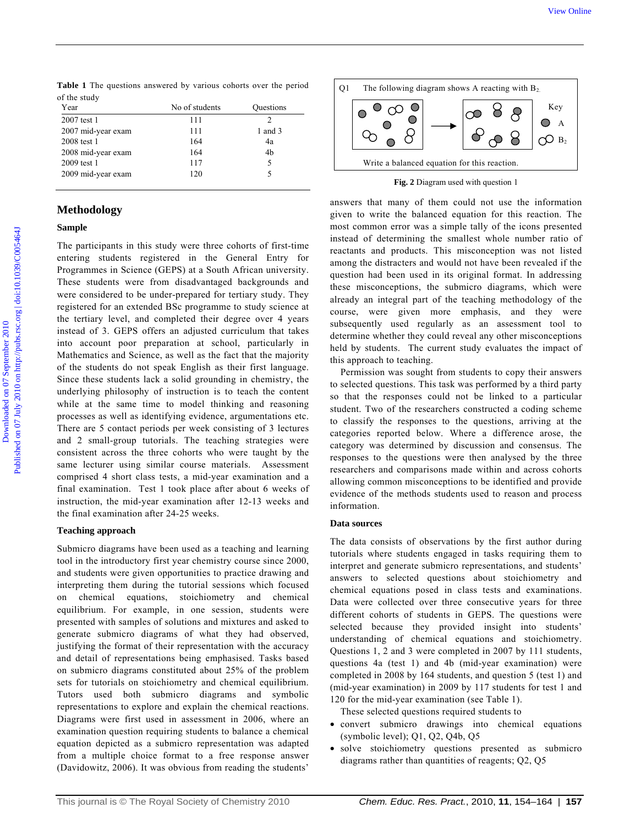**Table 1** The questions answered by various cohorts over the period of the study

| Year               | No of students | <b>Questions</b> |
|--------------------|----------------|------------------|
| 2007 test 1        | 111            | $\mathcal{P}$    |
| 2007 mid-year exam | 111            | 1 and 3          |
| 2008 test 1        | 164            | 4a               |
| 2008 mid-year exam | 164            | 4b               |
| 2009 test 1        | 117            | 5                |
| 2009 mid-year exam | 120            | 5                |

#### **Methodology**

#### **Sample**

The participants in this study were three cohorts of first-time entering students registered in the General Entry for Programmes in Science (GEPS) at a South African university. These students were from disadvantaged backgrounds and were considered to be under-prepared for tertiary study. They registered for an extended BSc programme to study science at the tertiary level, and completed their degree over 4 years instead of 3. GEPS offers an adjusted curriculum that takes into account poor preparation at school, particularly in Mathematics and Science, as well as the fact that the majority of the students do not speak English as their first language. Since these students lack a solid grounding in chemistry, the underlying philosophy of instruction is to teach the content while at the same time to model thinking and reasoning processes as well as identifying evidence, argumentations etc. There are 5 contact periods per week consisting of 3 lectures and 2 small-group tutorials. The teaching strategies were consistent across the three cohorts who were taught by the same lecturer using similar course materials. Assessment comprised 4 short class tests, a mid-year examination and a final examination. Test 1 took place after about 6 weeks of instruction, the mid-year examination after 12-13 weeks and the final examination after 24-25 weeks. Variation of the context and persistent of the context of the context of the context of the context of the context of the context of the context of the context of the context of the context of the context of the context o

#### **Teaching approach**

Submicro diagrams have been used as a teaching and learning tool in the introductory first year chemistry course since 2000, and students were given opportunities to practice drawing and interpreting them during the tutorial sessions which focused on chemical equations, stoichiometry and chemical equilibrium. For example, in one session, students were presented with samples of solutions and mixtures and asked to generate submicro diagrams of what they had observed, justifying the format of their representation with the accuracy and detail of representations being emphasised. Tasks based on submicro diagrams constituted about 25% of the problem sets for tutorials on stoichiometry and chemical equilibrium. Tutors used both submicro diagrams and symbolic representations to explore and explain the chemical reactions. Diagrams were first used in assessment in 2006, where an examination question requiring students to balance a chemical equation depicted as a submicro representation was adapted from a multiple choice format to a free response answer (Davidowitz, 2006). It was obvious from reading the students'



**Fig. 2** Diagram used with question 1

answers that many of them could not use the information given to write the balanced equation for this reaction. The most common error was a simple tally of the icons presented instead of determining the smallest whole number ratio of reactants and products. This misconception was not listed among the distracters and would not have been revealed if the question had been used in its original format. In addressing these misconceptions, the submicro diagrams, which were already an integral part of the teaching methodology of the course, were given more emphasis, and they were subsequently used regularly as an assessment tool to determine whether they could reveal any other misconceptions held by students. The current study evaluates the impact of this approach to teaching.

 Permission was sought from students to copy their answers to selected questions. This task was performed by a third party so that the responses could not be linked to a particular student. Two of the researchers constructed a coding scheme to classify the responses to the questions, arriving at the categories reported below. Where a difference arose, the category was determined by discussion and consensus. The responses to the questions were then analysed by the three researchers and comparisons made within and across cohorts allowing common misconceptions to be identified and provide evidence of the methods students used to reason and process information.

#### **Data sources**

The data consists of observations by the first author during tutorials where students engaged in tasks requiring them to interpret and generate submicro representations, and students' answers to selected questions about stoichiometry and chemical equations posed in class tests and examinations. Data were collected over three consecutive years for three different cohorts of students in GEPS. The questions were selected because they provided insight into students' understanding of chemical equations and stoichiometry. Questions 1, 2 and 3 were completed in 2007 by 111 students, questions 4a (test 1) and 4b (mid-year examination) were completed in 2008 by 164 students, and question 5 (test 1) and (mid-year examination) in 2009 by 117 students for test 1 and 120 for the mid-year examination (see Table 1).

These selected questions required students to

- convert submicro drawings into chemical equations (symbolic level); Q1, Q2, Q4b, Q5
- solve stoichiometry questions presented as submicro diagrams rather than quantities of reagents; Q2, Q5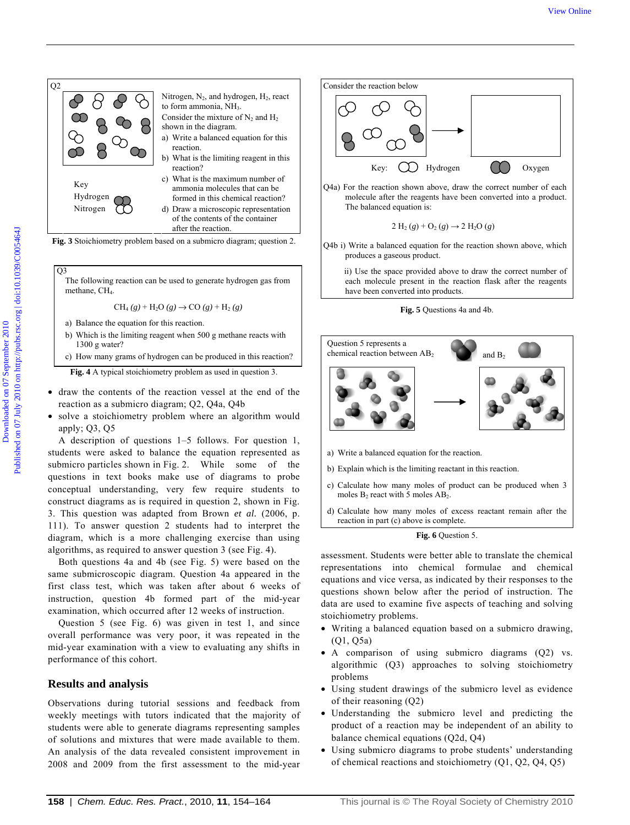

**Fig. 3** Stoichiometry problem based on a submicro diagram; question 2.

The following reaction can be used to generate hydrogen gas from methane, CH<sub>4</sub>.

 $CH_4(g) + H_2O(g) \rightarrow CO(g) + H_2(g)$ 

- a) Balance the equation for this reaction.
- b) Which is the limiting reagent when 500 g methane reacts with 1300 g water?
- c) How many grams of hydrogen can be produced in this reaction?

**Fig. 4** A typical stoichiometry problem as used in question 3.

- draw the contents of the reaction vessel at the end of the reaction as a submicro diagram; Q2, Q4a, Q4b
- solve a stoichiometry problem where an algorithm would apply; Q3, Q5

 A description of questions 1–5 follows. For question 1, students were asked to balance the equation represented as submicro particles shown in Fig. 2. While some of the questions in text books make use of diagrams to probe conceptual understanding, very few require students to construct diagrams as is required in question 2, shown in Fig. 3. This question was adapted from Brown *et al.* (2006, p. 111). To answer question 2 students had to interpret the diagram, which is a more challenging exercise than using algorithms, as required to answer question 3 (see Fig. 4).

 Both questions 4a and 4b (see Fig. 5) were based on the same submicroscopic diagram. Question 4a appeared in the first class test, which was taken after about 6 weeks of instruction, question 4b formed part of the mid-year examination, which occurred after 12 weeks of instruction.

 Question 5 (see Fig. 6) was given in test 1, and since overall performance was very poor, it was repeated in the mid-year examination with a view to evaluating any shifts in performance of this cohort.

#### **Results and analysis**

Observations during tutorial sessions and feedback from weekly meetings with tutors indicated that the majority of students were able to generate diagrams representing samples of solutions and mixtures that were made available to them. An analysis of the data revealed consistent improvement in 2008 and 2009 from the first assessment to the mid-year



- produces a gaseous product.
	- ii) Use the space provided above to draw the correct number of each molecule present in the reaction flask after the reagents have been converted into products.

**Fig. 5** Questions 4a and 4b.



- a) Write a balanced equation for the reaction.
- b) Explain which is the limiting reactant in this reaction.
- c) Calculate how many moles of product can be produced when 3 moles B<sub>2</sub> react with 5 moles AB<sub>2</sub>.
- d) Calculate how many moles of excess reactant remain after the reaction in part (c) above is complete.

#### **Fig. 6** Question 5.

assessment. Students were better able to translate the chemical representations into chemical formulae and chemical equations and vice versa, as indicated by their responses to the questions shown below after the period of instruction. The data are used to examine five aspects of teaching and solving stoichiometry problems.

- Writing a balanced equation based on a submicro drawing, (Q1, Q5a)
- A comparison of using submicro diagrams (Q2) vs. algorithmic (Q3) approaches to solving stoichiometry problems
- Using student drawings of the submicro level as evidence of their reasoning (Q2)
- Understanding the submicro level and predicting the product of a reaction may be independent of an ability to balance chemical equations (Q2d, Q4)
- Using submicro diagrams to probe students' understanding of chemical reactions and stoichiometry (Q1, Q2, Q4, Q5)

 $O<sup>3</sup>$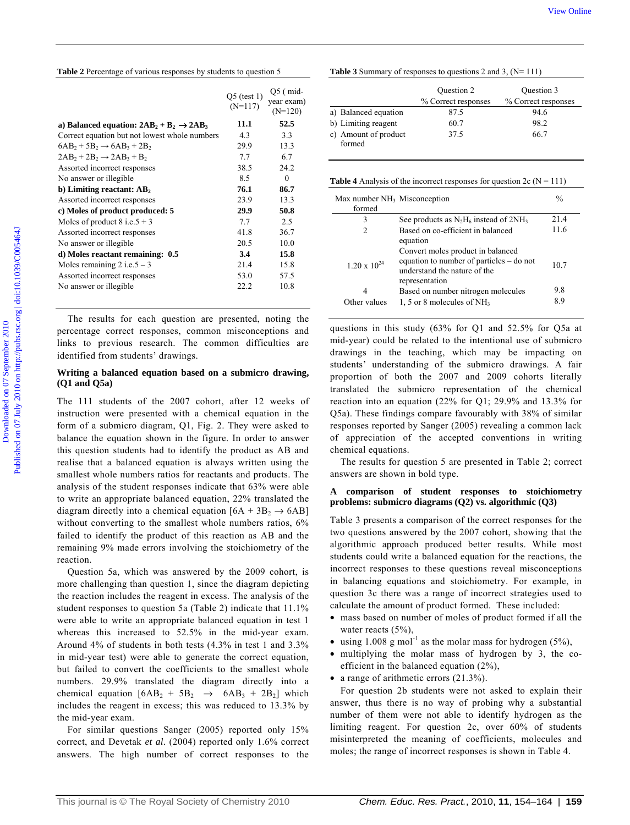| Table 2 Percentage of various responses by students to question 5 |                            |                          |                                          |                | <b>Table 3</b> Summary of responses to questions 2 and 3, $(N=111)$                                              |                                   |               |
|-------------------------------------------------------------------|----------------------------|--------------------------|------------------------------------------|----------------|------------------------------------------------------------------------------------------------------------------|-----------------------------------|---------------|
|                                                                   | $Q5$ (test 1)<br>$(N=117)$ | $O5$ (mid-<br>year exam) |                                          |                | <b>Ouestion 2</b><br>% Correct responses                                                                         | Question 3<br>% Correct responses |               |
|                                                                   |                            | $(N=120)$                | a) Balanced equation                     |                | 87.5                                                                                                             |                                   | 94.6          |
| a) Balanced equation: $2AB_2 + B_2 \rightarrow 2AB_3$             | 11.1                       | 52.5                     | b) Limiting reagent                      |                | 60.7                                                                                                             | 98.2                              |               |
| Correct equation but not lowest whole numbers                     | 4.3                        | 3.3                      | c) Amount of product                     |                | 37.5                                                                                                             | 66.7                              |               |
| $6AB_2 + 5B_2 \rightarrow 6AB_3 + 2B_2$                           | 29.9                       | 13.3                     | formed                                   |                |                                                                                                                  |                                   |               |
| $2AB_2 + 2B_2 \rightarrow 2AB_3 + B_2$                            | 7.7                        | 6.7                      |                                          |                |                                                                                                                  |                                   |               |
| Assorted incorrect responses                                      | 38.5                       | 24.2                     |                                          |                |                                                                                                                  |                                   |               |
| No answer or illegible                                            | 8.5                        | $\mathbf{0}$             |                                          |                | <b>Table 4</b> Analysis of the incorrect responses for question 2c ( $N = 111$ )                                 |                                   |               |
| b) Limiting reactant: $AB2$                                       | 76.1                       | 86.7                     |                                          |                |                                                                                                                  |                                   |               |
| Assorted incorrect responses                                      | 23.9                       | 13.3                     | Max number NH <sub>3</sub> Misconception |                |                                                                                                                  |                                   | $\frac{0}{0}$ |
| c) Moles of product produced: 5                                   | 29.9                       | 50.8                     | formed                                   |                |                                                                                                                  |                                   | 21.4          |
| Moles of product $8$ i.e. $5 + 3$                                 | 7.7                        | 2.5                      | 3<br>$\overline{c}$                      |                | See products as $N_2H_6$ instead of $2NH_3$<br>Based on co-efficient in balanced                                 |                                   | 11.6          |
| Assorted incorrect responses                                      | 41.8                       | 36.7                     |                                          | equation       |                                                                                                                  |                                   |               |
| No answer or illegible                                            | 20.5                       | 10.0                     |                                          |                | Convert moles product in balanced                                                                                |                                   |               |
| d) Moles reactant remaining: 0.5                                  | 3.4                        | 15.8                     |                                          |                | equation to number of particles - do not                                                                         |                                   |               |
| Moles remaining $2$ i.e. $5 - 3$                                  | 21.4                       | 15.8<br>57.5             | $1.20 \times 10^{24}$                    |                | understand the nature of the                                                                                     |                                   | 10.7          |
| Assorted incorrect responses                                      | 53.0<br>22.2               | 10.8                     |                                          | representation |                                                                                                                  |                                   |               |
| No answer or illegible                                            |                            |                          | 4                                        |                | Based on number nitrogen molecules                                                                               |                                   | 9.8           |
|                                                                   |                            |                          | Other values                             |                | 1, 5 or 8 molecules of $NH3$                                                                                     |                                   | 8.9           |
| The results for each question are presented, noting the           |                            |                          |                                          |                |                                                                                                                  |                                   |               |
| percentage correct responses, common misconceptions and           |                            |                          |                                          |                | questions in this study $(63\% \text{ for } Q1 \text{ and } 52.5\% \text{ for } Q5a \text{ at }$                 |                                   |               |
| links to previous research. The common difficulties are           |                            |                          |                                          |                | mid-year) could be related to the intentional use of submicro                                                    |                                   |               |
| identified from students' drawings.                               |                            |                          |                                          |                | drawings in the teaching, which may be impacting on                                                              |                                   |               |
| Writing a balanced equation based on a submicro drawing,          |                            |                          |                                          |                | students' understanding of the submicro drawings. A fair                                                         |                                   |               |
| $(Q1$ and $Q5a)$                                                  |                            |                          |                                          |                | proportion of both the 2007 and 2009 cohorts literally<br>translated the submicro representation of the chemical |                                   |               |
| The 111 students of the 2007 cohort, after 12 weeks of            |                            |                          |                                          |                | reaction into an equation (22% for Q1; 29.9% and 13.3% for                                                       |                                   |               |
| instruction were presented with a chemical equation in the        |                            |                          |                                          |                | Q5a). These findings compare favourably with 38% of similar                                                      |                                   |               |
| form of a submicro diagram, Q1, Fig. 2. They were asked to        |                            |                          |                                          |                | responses reported by Sanger (2005) revealing a common lack                                                      |                                   |               |
| balance the equation shown in the figure. In order to answer      |                            |                          |                                          |                | of appreciation of the accepted conventions in writing                                                           |                                   |               |
|                                                                   |                            |                          |                                          |                |                                                                                                                  |                                   |               |
| this question students had to identify the product as AB and      |                            |                          | chemical equations.                      |                |                                                                                                                  |                                   |               |
| realise that a balanced equation is always written using the      |                            |                          |                                          |                | The results for question 5 are presented in Table 2; correct                                                     |                                   |               |
| mollect whole numbers ratios for resetants and products. The      |                            |                          |                                          |                | enewore are shown in hold type                                                                                   |                                   |               |

#### **Writing a balanced equation based on a submicro drawing, (Q1 and Q5a)**

The 111 students of the 2007 cohort, after 12 weeks of instruction were presented with a chemical equation in the form of a submicro diagram, Q1, Fig. 2. They were asked to balance the equation shown in the figure. In order to answer this question students had to identify the product as AB and realise that a balanced equation is always written using the smallest whole numbers ratios for reactants and products. The analysis of the student responses indicate that 63% were able to write an appropriate balanced equation, 22% translated the diagram directly into a chemical equation  $[6A + 3B_2 \rightarrow 6AB]$ without converting to the smallest whole numbers ratios,  $6\%$ failed to identify the product of this reaction as AB and the remaining 9% made errors involving the stoichiometry of the reaction.

 Question 5a, which was answered by the 2009 cohort, is more challenging than question 1, since the diagram depicting the reaction includes the reagent in excess. The analysis of the student responses to question 5a (Table 2) indicate that 11.1% were able to write an appropriate balanced equation in test 1 whereas this increased to 52.5% in the mid-year exam. Around 4% of students in both tests (4.3% in test 1 and 3.3% in mid-year test) were able to generate the correct equation, but failed to convert the coefficients to the smallest whole numbers. 29.9% translated the diagram directly into a chemical equation  $[6AB_2 + 5B_2 \rightarrow 6AB_3 + 2B_2]$  which includes the reagent in excess; this was reduced to 13.3% by the mid-year exam.

 For similar questions Sanger (2005) reported only 15% correct, and Devetak *et al*. (2004) reported only 1.6% correct answers. The high number of correct responses to the

|                                | Question 2<br>% Correct responses | Question 3<br>% Correct responses |
|--------------------------------|-----------------------------------|-----------------------------------|
| a) Balanced equation           | 87.5                              | 94.6                              |
| b) Limiting reagent            | 60.7                              | 98.2                              |
| c) Amount of product<br>formed | 37.5                              | 66.7                              |

**Table 4** Analysis of the incorrect responses for question 2c ( $N = 111$ )

| Max number NH <sub>3</sub> Misconception<br>formed |                                                                                                                                 | $\frac{0}{0}$ |
|----------------------------------------------------|---------------------------------------------------------------------------------------------------------------------------------|---------------|
| 3                                                  | See products as $N_2H_6$ instead of $2NH_3$                                                                                     | 21.4          |
|                                                    | Based on co-efficient in balanced<br>equation                                                                                   | 11.6          |
| $1.20 \times 10^{24}$                              | Convert moles product in balanced<br>equation to number of particles – do not<br>understand the nature of the<br>representation | 10.7          |
| 4                                                  | Based on number nitrogen molecules                                                                                              | 9.8           |
| Other values                                       | 1, 5 or 8 molecules of $NH3$                                                                                                    | 8.9           |

 The results for question 5 are presented in Table 2; correct answers are shown in bold type.

#### **A comparison of student responses to stoichiometry problems: submicro diagrams (Q2) vs. algorithmic (Q3)**

Table 3 presents a comparison of the correct responses for the two questions answered by the 2007 cohort, showing that the algorithmic approach produced better results. While most students could write a balanced equation for the reactions, the incorrect responses to these questions reveal misconceptions in balancing equations and stoichiometry. For example, in question 3c there was a range of incorrect strategies used to calculate the amount of product formed. These included:

- mass based on number of moles of product formed if all the water reacts  $(5\%)$ ,
- using 1.008 g mol<sup>-1</sup> as the molar mass for hydrogen (5%),
- multiplying the molar mass of hydrogen by 3, the coefficient in the balanced equation (2%),
- a range of arithmetic errors  $(21.3\%)$ .

 For question 2b students were not asked to explain their answer, thus there is no way of probing why a substantial number of them were not able to identify hydrogen as the limiting reagent. For question 2c, over 60% of students misinterpreted the meaning of coefficients, molecules and moles; the range of incorrect responses is shown in Table 4.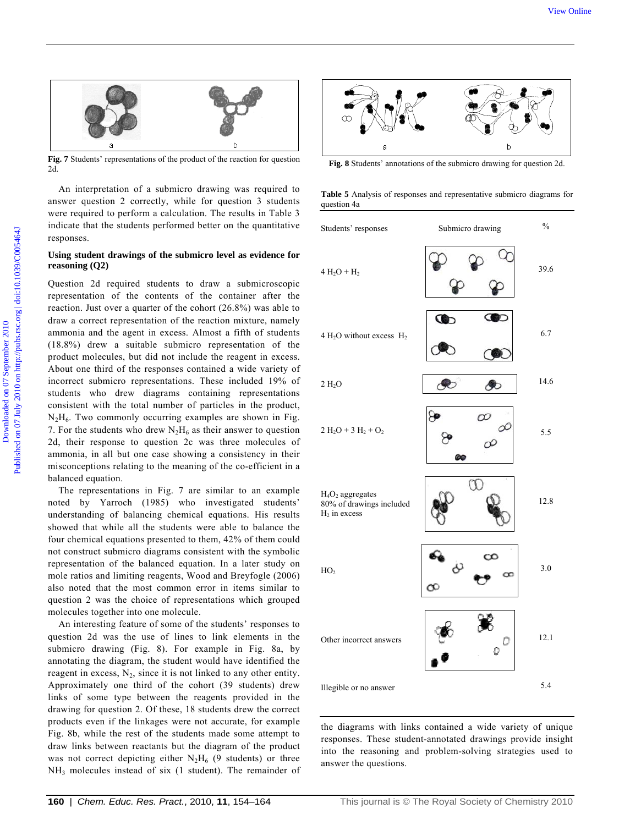

**Fig. 7** Students' representations of the product of the reaction for question 2d.

 An interpretation of a submicro drawing was required to answer question 2 correctly, while for question 3 students were required to perform a calculation. The results in Table 3 indicate that the students performed better on the quantitative responses.

#### **Using student drawings of the submicro level as evidence for reasoning (Q2)**

Question 2d required students to draw a submicroscopic representation of the contents of the container after the reaction. Just over a quarter of the cohort (26.8%) was able to draw a correct representation of the reaction mixture, namely ammonia and the agent in excess. Almost a fifth of students (18.8%) drew a suitable submicro representation of the product molecules, but did not include the reagent in excess. About one third of the responses contained a wide variety of incorrect submicro representations. These included 19% of students who drew diagrams containing representations consistent with the total number of particles in the product,  $N_2H_6$ . Two commonly occurring examples are shown in Fig. 7. For the students who drew  $N_2H_6$  as their answer to question 2d, their response to question 2c was three molecules of ammonia, in all but one case showing a consistency in their misconceptions relating to the meaning of the co-efficient in a balanced equation.

 The representations in Fig. 7 are similar to an example noted by Yarroch (1985) who investigated students' understanding of balancing chemical equations. His results showed that while all the students were able to balance the four chemical equations presented to them, 42% of them could not construct submicro diagrams consistent with the symbolic representation of the balanced equation. In a later study on mole ratios and limiting reagents, Wood and Breyfogle (2006) also noted that the most common error in items similar to question 2 was the choice of representations which grouped molecules together into one molecule.

 An interesting feature of some of the students' responses to question 2d was the use of lines to link elements in the submicro drawing (Fig. 8). For example in Fig. 8a, by annotating the diagram, the student would have identified the reagent in excess,  $N_2$ , since it is not linked to any other entity. Approximately one third of the cohort (39 students) drew links of some type between the reagents provided in the drawing for question 2. Of these, 18 students drew the correct products even if the linkages were not accurate, for example Fig. 8b, while the rest of the students made some attempt to draw links between reactants but the diagram of the product was not correct depicting either  $N_2H_6$  (9 students) or three NH3 molecules instead of six (1 student). The remainder of



**Fig. 8** Students' annotations of the submicro drawing for question 2d.

**Table 5** Analysis of responses and representative submicro diagrams for question 4a



the diagrams with links contained a wide variety of unique responses. These student-annotated drawings provide insight into the reasoning and problem-solving strategies used to answer the questions.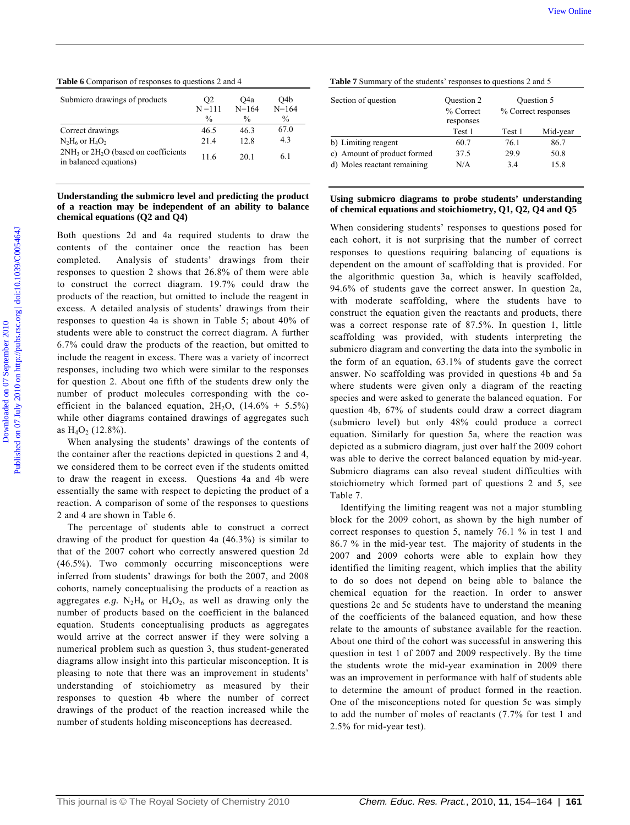**Table 6** Comparison of responses to questions 2 and 4

| Submicro drawings of products                                       | O <sub>2</sub> | O4a           | O4b           |
|---------------------------------------------------------------------|----------------|---------------|---------------|
|                                                                     | $N = 111$      | $N = 164$     | $N = 164$     |
|                                                                     | $\frac{0}{0}$  | $\frac{0}{0}$ | $\frac{0}{0}$ |
| Correct drawings                                                    | 46.5           | 46.3          | 67.0          |
| $N_2H_6$ or $H_4O_2$                                                | 214            | 12.8          | 4.3           |
| $2NH_3$ or $2H_2O$ (based on coefficients<br>in balanced equations) | 11.6           | 20.1          | 6.1           |

#### **Understanding the submicro level and predicting the product of a reaction may be independent of an ability to balance chemical equations (Q2 and Q4)**

Both questions 2d and 4a required students to draw the contents of the container once the reaction has been completed. Analysis of students' drawings from their responses to question 2 shows that 26.8% of them were able to construct the correct diagram. 19.7% could draw the products of the reaction, but omitted to include the reagent in excess. A detailed analysis of students' drawings from their responses to question 4a is shown in Table 5; about 40% of students were able to construct the correct diagram. A further 6.7% could draw the products of the reaction, but omitted to include the reagent in excess. There was a variety of incorrect responses, including two which were similar to the responses for question 2. About one fifth of the students drew only the number of product molecules corresponding with the coefficient in the balanced equation,  $2H<sub>2</sub>O$ ,  $(14.6\% + 5.5\%)$ while other diagrams contained drawings of aggregates such as  $H_4O_2$  (12.8%).

 When analysing the students' drawings of the contents of the container after the reactions depicted in questions 2 and 4, we considered them to be correct even if the students omitted to draw the reagent in excess. Questions 4a and 4b were essentially the same with respect to depicting the product of a reaction. A comparison of some of the responses to questions 2 and 4 are shown in Table 6.

 The percentage of students able to construct a correct drawing of the product for question 4a (46.3%) is similar to that of the 2007 cohort who correctly answered question 2d (46.5%). Two commonly occurring misconceptions were inferred from students' drawings for both the 2007, and 2008 cohorts, namely conceptualising the products of a reaction as aggregates *e.g.*  $N_2H_6$  or  $H_4O_2$ , as well as drawing only the number of products based on the coefficient in the balanced equation. Students conceptualising products as aggregates would arrive at the correct answer if they were solving a numerical problem such as question 3, thus student-generated diagrams allow insight into this particular misconception. It is pleasing to note that there was an improvement in students' understanding of stoichiometry as measured by their responses to question 4b where the number of correct drawings of the product of the reaction increased while the number of students holding misconceptions has decreased.

| Table 7 Summary of the students' responses to questions 2 and 5 |  |
|-----------------------------------------------------------------|--|
|-----------------------------------------------------------------|--|

| Section of question         | Question 2<br>$%$ Correct<br>responses |        | Question 5<br>% Correct responses |
|-----------------------------|----------------------------------------|--------|-----------------------------------|
|                             | Test 1                                 | Test 1 | Mid-year                          |
| b) Limiting reagent         | 60.7                                   | 76.1   | 86.7                              |
| c) Amount of product formed | 37.5                                   | 29.9   | 50.8                              |
| d) Moles reactant remaining | N/A                                    | 3.4    | 15.8                              |

#### **Using submicro diagrams to probe students' understanding of chemical equations and stoichiometry, Q1, Q2, Q4 and Q5**

When considering students' responses to questions posed for each cohort, it is not surprising that the number of correct responses to questions requiring balancing of equations is dependent on the amount of scaffolding that is provided. For the algorithmic question 3a, which is heavily scaffolded, 94.6% of students gave the correct answer. In question 2a, with moderate scaffolding, where the students have to construct the equation given the reactants and products, there was a correct response rate of 87.5%. In question 1, little scaffolding was provided, with students interpreting the submicro diagram and converting the data into the symbolic in the form of an equation, 63.1% of students gave the correct answer. No scaffolding was provided in questions 4b and 5a where students were given only a diagram of the reacting species and were asked to generate the balanced equation. For question 4b, 67% of students could draw a correct diagram (submicro level) but only 48% could produce a correct equation. Similarly for question 5a, where the reaction was depicted as a submicro diagram, just over half the 2009 cohort was able to derive the correct balanced equation by mid-year. Submicro diagrams can also reveal student difficulties with stoichiometry which formed part of questions 2 and 5, see Table 7. View Orleans of Computer of represents operations 2.60<br>
Solution the property of the stationary of the stationary of the stationary of the stationary of the stationary of the stationary of the stationary of the stationary

 Identifying the limiting reagent was not a major stumbling block for the 2009 cohort, as shown by the high number of correct responses to question 5, namely 76.1 % in test 1 and 86.7 % in the mid-year test. The majority of students in the 2007 and 2009 cohorts were able to explain how they identified the limiting reagent, which implies that the ability to do so does not depend on being able to balance the chemical equation for the reaction. In order to answer questions 2c and 5c students have to understand the meaning of the coefficients of the balanced equation, and how these relate to the amounts of substance available for the reaction. About one third of the cohort was successful in answering this question in test 1 of 2007 and 2009 respectively. By the time the students wrote the mid-year examination in 2009 there was an improvement in performance with half of students able to determine the amount of product formed in the reaction. One of the misconceptions noted for question 5c was simply to add the number of moles of reactants (7.7% for test 1 and 2.5% for mid-year test).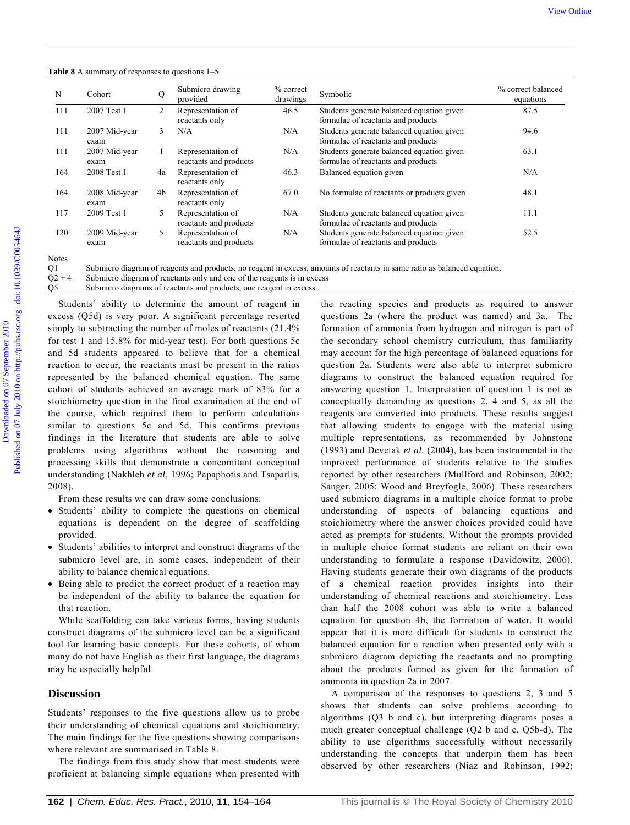|  |  |  | <b>Table 8</b> A summary of responses to questions $1-5$ |  |
|--|--|--|----------------------------------------------------------|--|
|--|--|--|----------------------------------------------------------|--|

| N                    | Cohort                | Q              | Submicro drawing<br>provided                                                                                                                                                                                                                                                                                                                                                            | $%$ correct<br>drawings | Symbolic                                                                                                                                                                                                                                                                                                                                                                      | % correct balanced<br>equations |
|----------------------|-----------------------|----------------|-----------------------------------------------------------------------------------------------------------------------------------------------------------------------------------------------------------------------------------------------------------------------------------------------------------------------------------------------------------------------------------------|-------------------------|-------------------------------------------------------------------------------------------------------------------------------------------------------------------------------------------------------------------------------------------------------------------------------------------------------------------------------------------------------------------------------|---------------------------------|
| 111                  | 2007 Test 1           | $\overline{c}$ | Representation of<br>reactants only                                                                                                                                                                                                                                                                                                                                                     | 46.5                    | Students generate balanced equation given<br>formulae of reactants and products                                                                                                                                                                                                                                                                                               | 87.5                            |
| 111                  | 2007 Mid-year<br>exam | 3              | N/A                                                                                                                                                                                                                                                                                                                                                                                     | N/A                     | Students generate balanced equation given<br>formulae of reactants and products                                                                                                                                                                                                                                                                                               | 94.6                            |
| 111                  | 2007 Mid-year<br>exam | 1              | Representation of<br>reactants and products                                                                                                                                                                                                                                                                                                                                             | N/A                     | Students generate balanced equation given<br>formulae of reactants and products                                                                                                                                                                                                                                                                                               | 63.1                            |
| 164                  | 2008 Test 1           | 4a             | Representation of<br>reactants only                                                                                                                                                                                                                                                                                                                                                     | 46.3                    | Balanced equation given                                                                                                                                                                                                                                                                                                                                                       | N/A                             |
| 164                  | 2008 Mid-year<br>exam | 4b             | Representation of<br>reactants only                                                                                                                                                                                                                                                                                                                                                     | 67.0                    | No formulae of reactants or products given                                                                                                                                                                                                                                                                                                                                    | 48.1                            |
| 117                  | 2009 Test 1           | 5              | Representation of<br>reactants and products                                                                                                                                                                                                                                                                                                                                             | N/A                     | Students generate balanced equation given<br>formulae of reactants and products                                                                                                                                                                                                                                                                                               | 11.1                            |
| 120                  | 2009 Mid-year<br>exam | 5              | Representation of<br>reactants and products                                                                                                                                                                                                                                                                                                                                             | N/A                     | Students generate balanced equation given<br>formulae of reactants and products                                                                                                                                                                                                                                                                                               | 52.5                            |
| O1<br>$Q2 + 4$<br>Q5 |                       |                | Submicro diagram of reactants only and one of the reagents is in excess<br>Submicro diagrams of reactants and products, one reagent in excess                                                                                                                                                                                                                                           |                         | Submicro diagram of reagents and products, no reagent in excess, amounts of reactants in same ratio as balanced equation.                                                                                                                                                                                                                                                     |                                 |
|                      |                       |                | Students' ability to determine the amount of reagent in<br>excess (Q5d) is very poor. A significant percentage resorted<br>simply to subtracting the number of moles of reactants (21.4%<br>for test 1 and 15.8% for mid-year test). For both questions 5c<br>and 5d students appeared to believe that for a chemical<br>reaction to occur, the reactants must be present in the ratios |                         | the reacting species and products as required to answer<br>questions 2a (where the product was named) and 3a. The<br>formation of ammonia from hydrogen and nitrogen is part of<br>the secondary school chemistry curriculum, thus familiarity<br>may account for the high percentage of balanced equations for<br>question 2a. Students were also able to interpret submicro |                                 |
|                      |                       |                | represented by the balanced chemical equation. The same<br>cohort of students achieved an average mark of 83% for a<br>stoichiometry question in the final examination at the end of                                                                                                                                                                                                    |                         | diagrams to construct the balanced equation required for<br>answering question 1. Interpretation of question 1 is not as<br>conceptually demanding as questions 2, 4 and 5, as all the                                                                                                                                                                                        |                                 |
|                      |                       |                | the course, which required them to perform calculations<br>similar to questions 5c and 5d. This confirms previous                                                                                                                                                                                                                                                                       |                         | reagents are converted into products. These results suggest<br>that allowing students to engage with the material using                                                                                                                                                                                                                                                       |                                 |
|                      |                       |                | findings in the literature that students are able to solve<br>problems using algorithms without the reasoning and<br>processing skills that demonstrate a concomitant conceptual                                                                                                                                                                                                        |                         | multiple representations, as recommended by Johnstone<br>(1993) and Devetak et al. (2004), has been instrumental in the<br>improved performance of students relative to the studies                                                                                                                                                                                           |                                 |
|                      |                       |                |                                                                                                                                                                                                                                                                                                                                                                                         |                         |                                                                                                                                                                                                                                                                                                                                                                               |                                 |

 Students' ability to determine the amount of reagent in excess (Q5d) is very poor. A significant percentage resorted simply to subtracting the number of moles of reactants (21.4% for test 1 and 15.8% for mid-year test). For both questions 5c and 5d students appeared to believe that for a chemical reaction to occur, the reactants must be present in the ratios represented by the balanced chemical equation. The same cohort of students achieved an average mark of 83% for a stoichiometry question in the final examination at the end of the course, which required them to perform calculations similar to questions 5c and 5d. This confirms previous findings in the literature that students are able to solve problems using algorithms without the reasoning and processing skills that demonstrate a concomitant conceptual understanding (Nakhleh *et al*, 1996; Papaphotis and Tsaparlis, 2008).

From these results we can draw some conclusions:

- Students' ability to complete the questions on chemical equations is dependent on the degree of scaffolding provided.
- Students' abilities to interpret and construct diagrams of the submicro level are, in some cases, independent of their ability to balance chemical equations.
- Being able to predict the correct product of a reaction may be independent of the ability to balance the equation for that reaction.

 While scaffolding can take various forms, having students construct diagrams of the submicro level can be a significant tool for learning basic concepts. For these cohorts, of whom many do not have English as their first language, the diagrams may be especially helpful.

#### **Discussion**

Students' responses to the five questions allow us to probe their understanding of chemical equations and stoichiometry. The main findings for the five questions showing comparisons where relevant are summarised in Table 8.

 The findings from this study show that most students were proficient at balancing simple equations when presented with

the reacting species and products as required to answer questions 2a (where the product was named) and 3a. The formation of ammonia from hydrogen and nitrogen is part of the secondary school chemistry curriculum, thus familiarity may account for the high percentage of balanced equations for question 2a. Students were also able to interpret submicro diagrams to construct the balanced equation required for answering question 1. Interpretation of question 1 is not as conceptually demanding as questions 2, 4 and 5, as all the reagents are converted into products. These results suggest that allowing students to engage with the material using multiple representations, as recommended by Johnstone (1993) and Devetak *et al.* (2004), has been instrumental in the improved performance of students relative to the studies reported by other researchers (Mullford and Robinson, 2002; Sanger, 2005; Wood and Breyfogle, 2006). These researchers used submicro diagrams in a multiple choice format to probe understanding of aspects of balancing equations and stoichiometry where the answer choices provided could have acted as prompts for students. Without the prompts provided in multiple choice format students are reliant on their own understanding to formulate a response (Davidowitz, 2006). Having students generate their own diagrams of the products of a chemical reaction provides insights into their understanding of chemical reactions and stoichiometry. Less than half the 2008 cohort was able to write a balanced equation for question 4b, the formation of water. It would appear that it is more difficult for students to construct the balanced equation for a reaction when presented only with a submicro diagram depicting the reactants and no prompting about the products formed as given for the formation of ammonia in question 2a in 2007.

 A comparison of the responses to questions 2, 3 and 5 shows that students can solve problems according to algorithms (Q3 b and c), but interpreting diagrams poses a much greater conceptual challenge (Q2 b and c, Q5b-d). The ability to use algorithms successfully without necessarily understanding the concepts that underpin them has been observed by other researchers (Niaz and Robinson, 1992;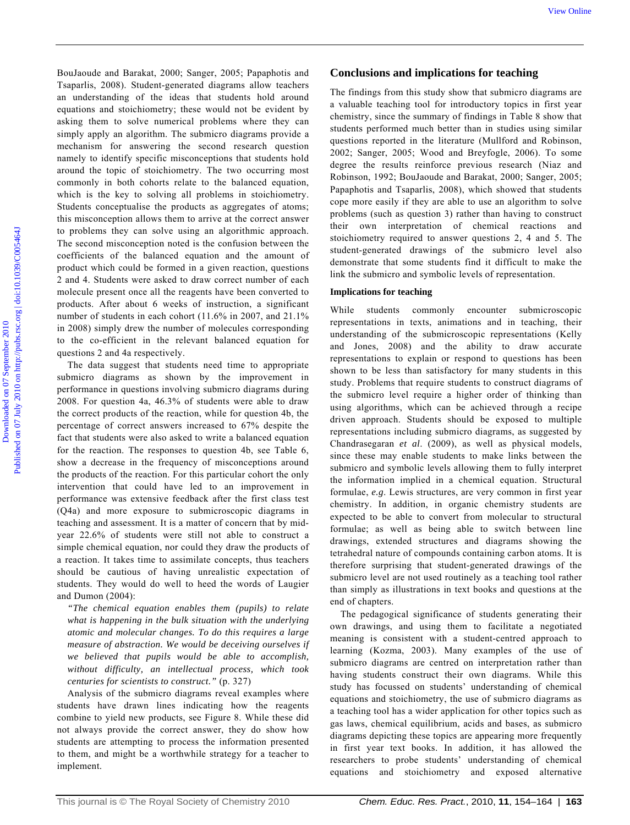BouJaoude and Barakat, 2000; Sanger, 2005; Papaphotis and Tsaparlis, 2008). Student-generated diagrams allow teachers an understanding of the ideas that students hold around equations and stoichiometry; these would not be evident by asking them to solve numerical problems where they can simply apply an algorithm. The submicro diagrams provide a mechanism for answering the second research question namely to identify specific misconceptions that students hold around the topic of stoichiometry. The two occurring most commonly in both cohorts relate to the balanced equation, which is the key to solving all problems in stoichiometry. Students conceptualise the products as aggregates of atoms; this misconception allows them to arrive at the correct answer to problems they can solve using an algorithmic approach. The second misconception noted is the confusion between the coefficients of the balanced equation and the amount of product which could be formed in a given reaction, questions 2 and 4. Students were asked to draw correct number of each molecule present once all the reagents have been converted to products. After about 6 weeks of instruction, a significant number of students in each cohort (11.6% in 2007, and 21.1% in 2008) simply drew the number of molecules corresponding to the co-efficient in the relevant balanced equation for questions 2 and 4a respectively. Vew Online<br>
Texturals, 2000; Surger, 2005; Puppelvis and **Conclusions and implications for teaching**<br>
Texturals, 2008) Sources agencies and sixted and any are solved as the set of the desired on the set of the set of the s

 The data suggest that students need time to appropriate submicro diagrams as shown by the improvement in performance in questions involving submicro diagrams during 2008. For question 4a, 46.3% of students were able to draw the correct products of the reaction, while for question 4b, the percentage of correct answers increased to 67% despite the fact that students were also asked to write a balanced equation for the reaction. The responses to question 4b, see Table 6, show a decrease in the frequency of misconceptions around the products of the reaction. For this particular cohort the only intervention that could have led to an improvement in performance was extensive feedback after the first class test (Q4a) and more exposure to submicroscopic diagrams in teaching and assessment. It is a matter of concern that by midyear 22.6% of students were still not able to construct a simple chemical equation, nor could they draw the products of a reaction. It takes time to assimilate concepts, thus teachers should be cautious of having unrealistic expectation of students. They would do well to heed the words of Laugier and Dumon (2004):

*"The chemical equation enables them (pupils) to relate what is happening in the bulk situation with the underlying atomic and molecular changes. To do this requires a large measure of abstraction. We would be deceiving ourselves if we believed that pupils would be able to accomplish, without difficulty, an intellectual process, which took centuries for scientists to construct."* (p. 327)

 Analysis of the submicro diagrams reveal examples where students have drawn lines indicating how the reagents combine to yield new products, see Figure 8. While these did not always provide the correct answer, they do show how students are attempting to process the information presented to them, and might be a worthwhile strategy for a teacher to implement.

#### **Conclusions and implications for teaching**

The findings from this study show that submicro diagrams are a valuable teaching tool for introductory topics in first year chemistry, since the summary of findings in Table 8 show that students performed much better than in studies using similar questions reported in the literature (Mullford and Robinson, 2002; Sanger, 2005; Wood and Breyfogle, 2006). To some degree the results reinforce previous research (Niaz and Robinson, 1992; BouJaoude and Barakat, 2000; Sanger, 2005; Papaphotis and Tsaparlis, 2008), which showed that students cope more easily if they are able to use an algorithm to solve problems (such as question 3) rather than having to construct their own interpretation of chemical reactions and stoichiometry required to answer questions 2, 4 and 5. The student-generated drawings of the submicro level also demonstrate that some students find it difficult to make the link the submicro and symbolic levels of representation.

#### **Implications for teaching**

While students commonly encounter submicroscopic representations in texts, animations and in teaching, their understanding of the submicroscopic representations (Kelly and Jones, 2008) and the ability to draw accurate representations to explain or respond to questions has been shown to be less than satisfactory for many students in this study. Problems that require students to construct diagrams of the submicro level require a higher order of thinking than using algorithms, which can be achieved through a recipe driven approach. Students should be exposed to multiple representations including submicro diagrams, as suggested by Chandrasegaran *et al*. (2009), as well as physical models, since these may enable students to make links between the submicro and symbolic levels allowing them to fully interpret the information implied in a chemical equation. Structural formulae, *e.g*. Lewis structures, are very common in first year chemistry. In addition, in organic chemistry students are expected to be able to convert from molecular to structural formulae; as well as being able to switch between line drawings, extended structures and diagrams showing the tetrahedral nature of compounds containing carbon atoms. It is therefore surprising that student-generated drawings of the submicro level are not used routinely as a teaching tool rather than simply as illustrations in text books and questions at the end of chapters.

 The pedagogical significance of students generating their own drawings, and using them to facilitate a negotiated meaning is consistent with a student-centred approach to learning (Kozma, 2003). Many examples of the use of submicro diagrams are centred on interpretation rather than having students construct their own diagrams. While this study has focussed on students' understanding of chemical equations and stoichiometry, the use of submicro diagrams as a teaching tool has a wider application for other topics such as gas laws, chemical equilibrium, acids and bases, as submicro diagrams depicting these topics are appearing more frequently in first year text books. In addition, it has allowed the researchers to probe students' understanding of chemical equations and stoichiometry and exposed alternative